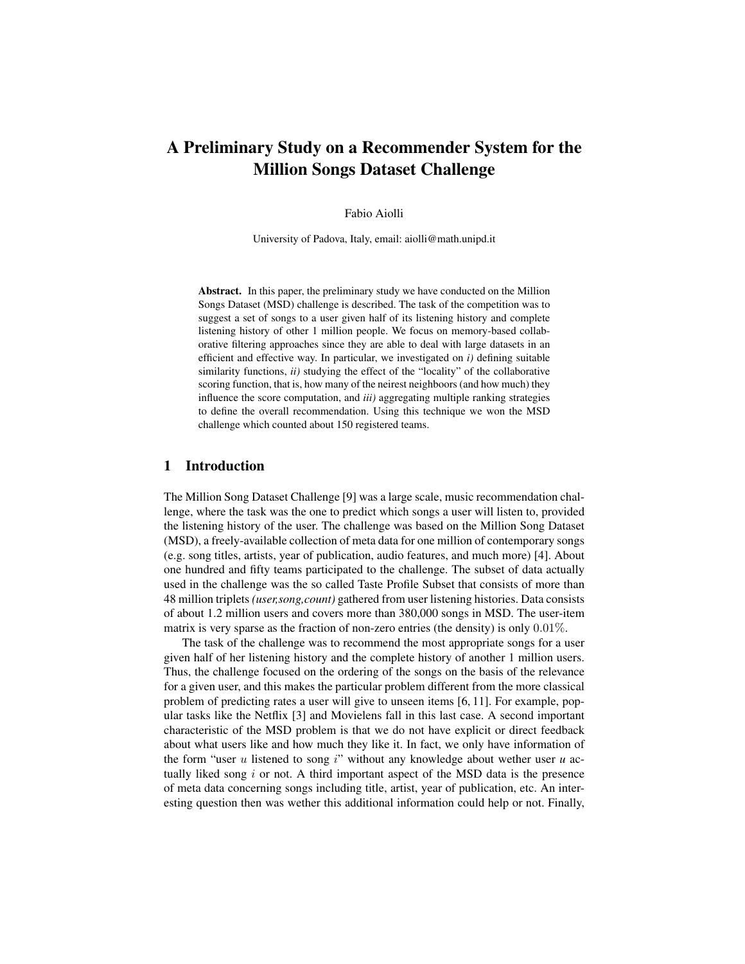# A Preliminary Study on a Recommender System for the Million Songs Dataset Challenge

### Fabio Aiolli

University of Padova, Italy, email: aiolli@math.unipd.it

Abstract. In this paper, the preliminary study we have conducted on the Million Songs Dataset (MSD) challenge is described. The task of the competition was to suggest a set of songs to a user given half of its listening history and complete listening history of other 1 million people. We focus on memory-based collaborative filtering approaches since they are able to deal with large datasets in an efficient and effective way. In particular, we investigated on *i)* defining suitable similarity functions, *ii)* studying the effect of the "locality" of the collaborative scoring function, that is, how many of the neirest neighboors (and how much) they influence the score computation, and *iii)* aggregating multiple ranking strategies to define the overall recommendation. Using this technique we won the MSD challenge which counted about 150 registered teams.

# 1 Introduction

The Million Song Dataset Challenge [9] was a large scale, music recommendation challenge, where the task was the one to predict which songs a user will listen to, provided the listening history of the user. The challenge was based on the Million Song Dataset (MSD), a freely-available collection of meta data for one million of contemporary songs (e.g. song titles, artists, year of publication, audio features, and much more) [4]. About one hundred and fifty teams participated to the challenge. The subset of data actually used in the challenge was the so called Taste Profile Subset that consists of more than 48 million triplets *(user,song,count)* gathered from user listening histories. Data consists of about 1.2 million users and covers more than 380,000 songs in MSD. The user-item matrix is very sparse as the fraction of non-zero entries (the density) is only 0.01%.

The task of the challenge was to recommend the most appropriate songs for a user given half of her listening history and the complete history of another 1 million users. Thus, the challenge focused on the ordering of the songs on the basis of the relevance for a given user, and this makes the particular problem different from the more classical problem of predicting rates a user will give to unseen items [6, 11]. For example, popular tasks like the Netflix [3] and Movielens fall in this last case. A second important characteristic of the MSD problem is that we do not have explicit or direct feedback about what users like and how much they like it. In fact, we only have information of the form "user  $u$  listened to song  $i$ " without any knowledge about wether user  $u$  actually liked song  $i$  or not. A third important aspect of the MSD data is the presence of meta data concerning songs including title, artist, year of publication, etc. An interesting question then was wether this additional information could help or not. Finally,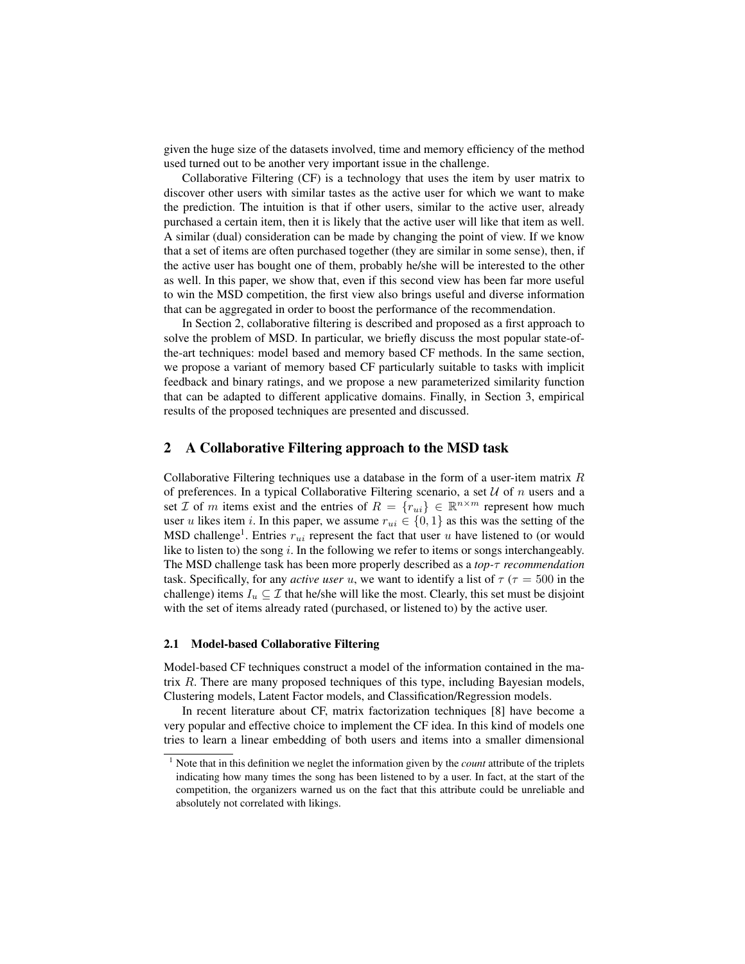given the huge size of the datasets involved, time and memory efficiency of the method used turned out to be another very important issue in the challenge.

Collaborative Filtering (CF) is a technology that uses the item by user matrix to discover other users with similar tastes as the active user for which we want to make the prediction. The intuition is that if other users, similar to the active user, already purchased a certain item, then it is likely that the active user will like that item as well. A similar (dual) consideration can be made by changing the point of view. If we know that a set of items are often purchased together (they are similar in some sense), then, if the active user has bought one of them, probably he/she will be interested to the other as well. In this paper, we show that, even if this second view has been far more useful to win the MSD competition, the first view also brings useful and diverse information that can be aggregated in order to boost the performance of the recommendation.

In Section 2, collaborative filtering is described and proposed as a first approach to solve the problem of MSD. In particular, we briefly discuss the most popular state-ofthe-art techniques: model based and memory based CF methods. In the same section, we propose a variant of memory based CF particularly suitable to tasks with implicit feedback and binary ratings, and we propose a new parameterized similarity function that can be adapted to different applicative domains. Finally, in Section 3, empirical results of the proposed techniques are presented and discussed.

### 2 A Collaborative Filtering approach to the MSD task

Collaborative Filtering techniques use a database in the form of a user-item matrix  $R$ of preferences. In a typical Collaborative Filtering scenario, a set  $U$  of n users and a set *I* of *m* items exist and the entries of  $R = \{r_{ui}\}\in \mathbb{R}^{n \times m}$  represent how much user u likes item i. In this paper, we assume  $r_{ui} \in \{0, 1\}$  as this was the setting of the MSD challenge<sup>1</sup>. Entries  $r_{ui}$  represent the fact that user u have listened to (or would like to listen to) the song  $i$ . In the following we refer to items or songs interchangeably. The MSD challenge task has been more properly described as a *top-*τ *recommendation* task. Specifically, for any *active user* u, we want to identify a list of  $\tau$  ( $\tau$  = 500 in the challenge) items  $I_u \subseteq \mathcal{I}$  that he/she will like the most. Clearly, this set must be disjoint with the set of items already rated (purchased, or listened to) by the active user.

#### 2.1 Model-based Collaborative Filtering

Model-based CF techniques construct a model of the information contained in the matrix  $R$ . There are many proposed techniques of this type, including Bayesian models, Clustering models, Latent Factor models, and Classification/Regression models.

In recent literature about CF, matrix factorization techniques [8] have become a very popular and effective choice to implement the CF idea. In this kind of models one tries to learn a linear embedding of both users and items into a smaller dimensional

<sup>1</sup> Note that in this definition we neglet the information given by the *count* attribute of the triplets indicating how many times the song has been listened to by a user. In fact, at the start of the competition, the organizers warned us on the fact that this attribute could be unreliable and absolutely not correlated with likings.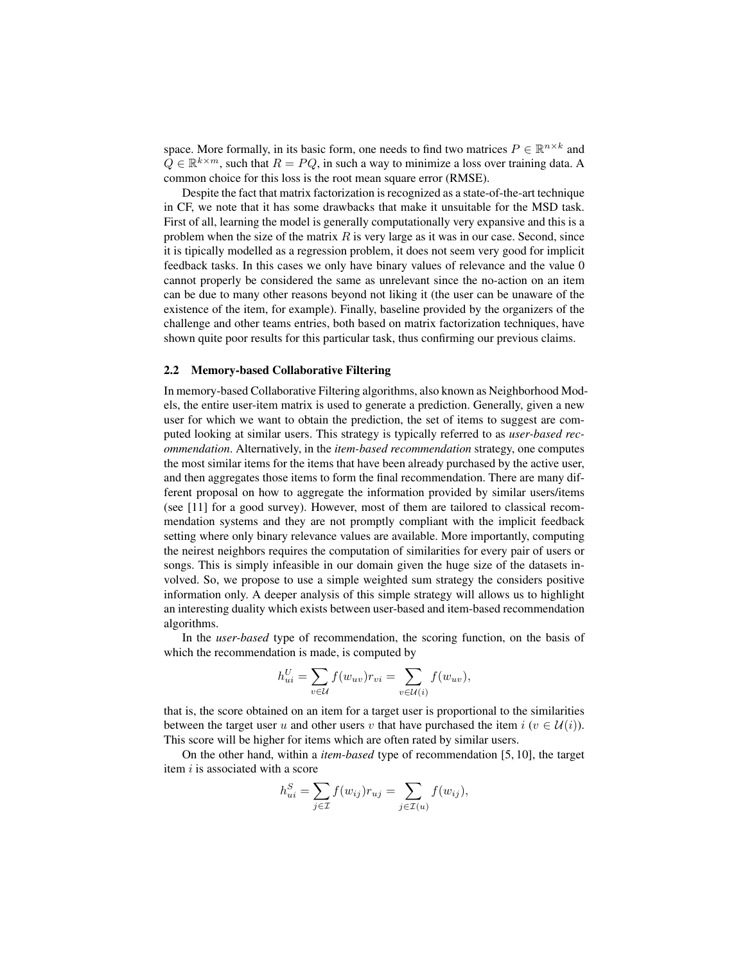space. More formally, in its basic form, one needs to find two matrices  $P \in \mathbb{R}^{n \times k}$  and  $\tilde{Q} \in \mathbb{R}^{k \times m}$ , such that  $R = PQ$ , in such a way to minimize a loss over training data. A common choice for this loss is the root mean square error (RMSE).

Despite the fact that matrix factorization is recognized as a state-of-the-art technique in CF, we note that it has some drawbacks that make it unsuitable for the MSD task. First of all, learning the model is generally computationally very expansive and this is a problem when the size of the matrix  $R$  is very large as it was in our case. Second, since it is tipically modelled as a regression problem, it does not seem very good for implicit feedback tasks. In this cases we only have binary values of relevance and the value 0 cannot properly be considered the same as unrelevant since the no-action on an item can be due to many other reasons beyond not liking it (the user can be unaware of the existence of the item, for example). Finally, baseline provided by the organizers of the challenge and other teams entries, both based on matrix factorization techniques, have shown quite poor results for this particular task, thus confirming our previous claims.

### 2.2 Memory-based Collaborative Filtering

In memory-based Collaborative Filtering algorithms, also known as Neighborhood Models, the entire user-item matrix is used to generate a prediction. Generally, given a new user for which we want to obtain the prediction, the set of items to suggest are computed looking at similar users. This strategy is typically referred to as *user-based recommendation*. Alternatively, in the *item-based recommendation* strategy, one computes the most similar items for the items that have been already purchased by the active user, and then aggregates those items to form the final recommendation. There are many different proposal on how to aggregate the information provided by similar users/items (see [11] for a good survey). However, most of them are tailored to classical recommendation systems and they are not promptly compliant with the implicit feedback setting where only binary relevance values are available. More importantly, computing the neirest neighbors requires the computation of similarities for every pair of users or songs. This is simply infeasible in our domain given the huge size of the datasets involved. So, we propose to use a simple weighted sum strategy the considers positive information only. A deeper analysis of this simple strategy will allows us to highlight an interesting duality which exists between user-based and item-based recommendation algorithms.

In the *user-based* type of recommendation, the scoring function, on the basis of which the recommendation is made, is computed by

$$
h_{ui}^U = \sum_{v \in \mathcal{U}} f(w_{uv}) r_{vi} = \sum_{v \in \mathcal{U}(i)} f(w_{uv}),
$$

that is, the score obtained on an item for a target user is proportional to the similarities between the target user u and other users v that have purchased the item  $i$  ( $v \in \mathcal{U}(i)$ ). This score will be higher for items which are often rated by similar users.

On the other hand, within a *item-based* type of recommendation [5, 10], the target item  $i$  is associated with a score

$$
h_{ui}^S = \sum_{j \in \mathcal{I}} f(w_{ij}) r_{uj} = \sum_{j \in \mathcal{I}(u)} f(w_{ij}),
$$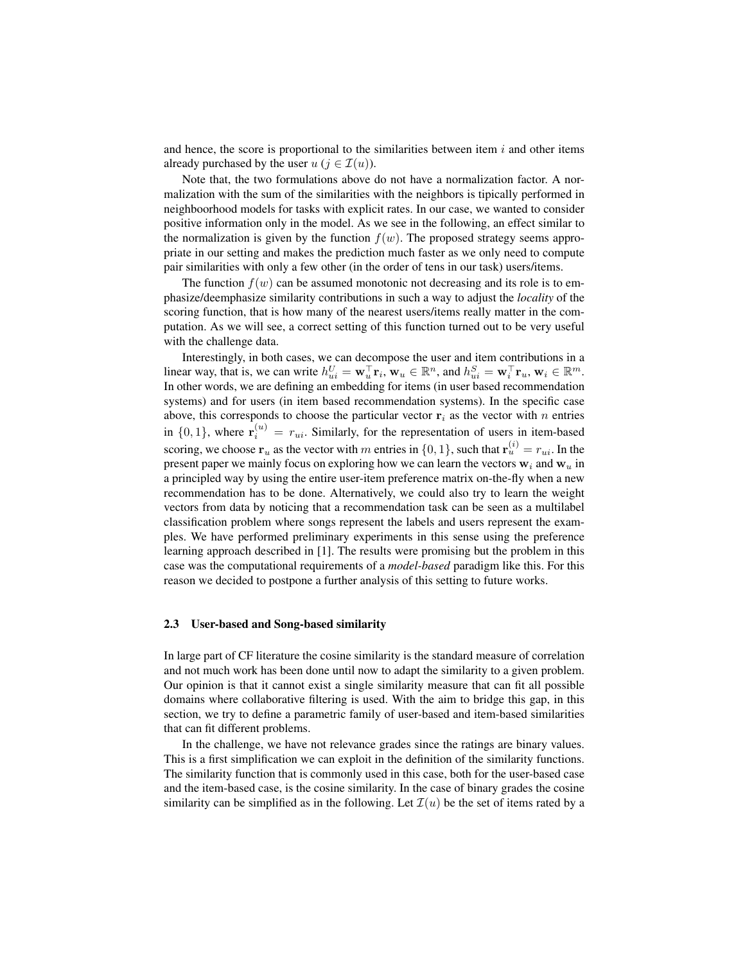and hence, the score is proportional to the similarities between item  $i$  and other items already purchased by the user  $u$  ( $j \in \mathcal{I}(u)$ ).

Note that, the two formulations above do not have a normalization factor. A normalization with the sum of the similarities with the neighbors is tipically performed in neighboorhood models for tasks with explicit rates. In our case, we wanted to consider positive information only in the model. As we see in the following, an effect similar to the normalization is given by the function  $f(w)$ . The proposed strategy seems appropriate in our setting and makes the prediction much faster as we only need to compute pair similarities with only a few other (in the order of tens in our task) users/items.

The function  $f(w)$  can be assumed monotonic not decreasing and its role is to emphasize/deemphasize similarity contributions in such a way to adjust the *locality* of the scoring function, that is how many of the nearest users/items really matter in the computation. As we will see, a correct setting of this function turned out to be very useful with the challenge data.

Interestingly, in both cases, we can decompose the user and item contributions in a linear way, that is, we can write  $h_{ui}^U = \mathbf{w}_u^T \mathbf{r}_i$ ,  $\mathbf{w}_u \in \mathbb{R}^n$ , and  $h_{ui}^S = \mathbf{w}_i^T \mathbf{r}_u$ ,  $\mathbf{w}_i \in \mathbb{R}^m$ . In other words, we are defining an embedding for items (in user based recommendation systems) and for users (in item based recommendation systems). In the specific case above, this corresponds to choose the particular vector  $r_i$  as the vector with n entries in  $\{0,1\}$ , where  $\mathbf{r}_i^{(u)} = r_{ui}$ . Similarly, for the representation of users in item-based scoring, we choose  $\mathbf{r}_u$  as the vector with m entries in  $\{0, 1\}$ , such that  $\mathbf{r}_u^{(i)} = r_{ui}$ . In the present paper we mainly focus on exploring how we can learn the vectors  $w_i$  and  $w_u$  in a principled way by using the entire user-item preference matrix on-the-fly when a new recommendation has to be done. Alternatively, we could also try to learn the weight vectors from data by noticing that a recommendation task can be seen as a multilabel classification problem where songs represent the labels and users represent the examples. We have performed preliminary experiments in this sense using the preference learning approach described in [1]. The results were promising but the problem in this case was the computational requirements of a *model-based* paradigm like this. For this reason we decided to postpone a further analysis of this setting to future works.

### 2.3 User-based and Song-based similarity

In large part of CF literature the cosine similarity is the standard measure of correlation and not much work has been done until now to adapt the similarity to a given problem. Our opinion is that it cannot exist a single similarity measure that can fit all possible domains where collaborative filtering is used. With the aim to bridge this gap, in this section, we try to define a parametric family of user-based and item-based similarities that can fit different problems.

In the challenge, we have not relevance grades since the ratings are binary values. This is a first simplification we can exploit in the definition of the similarity functions. The similarity function that is commonly used in this case, both for the user-based case and the item-based case, is the cosine similarity. In the case of binary grades the cosine similarity can be simplified as in the following. Let  $\mathcal{I}(u)$  be the set of items rated by a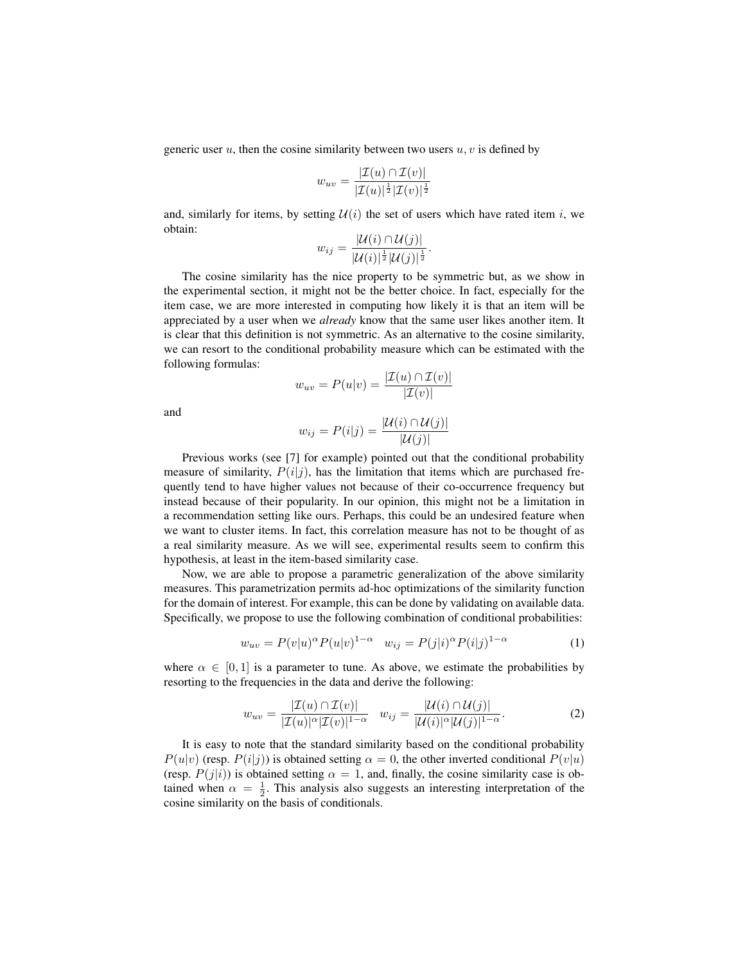generic user u, then the cosine similarity between two users  $u, v$  is defined by

$$
w_{uv} = \frac{|\mathcal{I}(u) \cap \mathcal{I}(v)|}{|\mathcal{I}(u)|^{\frac{1}{2}} |\mathcal{I}(v)|^{\frac{1}{2}}}
$$

and, similarly for items, by setting  $\mathcal{U}(i)$  the set of users which have rated item i, we obtain:  $|U(f) - 2U(f)|$ 

$$
w_{ij}=\frac{|\mathcal{U}(i)\cap\mathcal{U}(j)|}{|\mathcal{U}(i)|^{\frac{1}{2}}|\mathcal{U}(j)|^{\frac{1}{2}}}.
$$

The cosine similarity has the nice property to be symmetric but, as we show in the experimental section, it might not be the better choice. In fact, especially for the item case, we are more interested in computing how likely it is that an item will be appreciated by a user when we *already* know that the same user likes another item. It is clear that this definition is not symmetric. As an alternative to the cosine similarity, we can resort to the conditional probability measure which can be estimated with the following formulas:

$$
w_{uv} = P(u|v) = \frac{|\mathcal{I}(u) \cap \mathcal{I}(v)|}{|\mathcal{I}(v)|}
$$

and

$$
w_{ij} = P(i|j) = \frac{|\mathcal{U}(i) \cap \mathcal{U}(j)|}{|\mathcal{U}(j)|}
$$

Previous works (see [7] for example) pointed out that the conditional probability measure of similarity,  $P(i|j)$ , has the limitation that items which are purchased frequently tend to have higher values not because of their co-occurrence frequency but instead because of their popularity. In our opinion, this might not be a limitation in a recommendation setting like ours. Perhaps, this could be an undesired feature when we want to cluster items. In fact, this correlation measure has not to be thought of as a real similarity measure. As we will see, experimental results seem to confirm this hypothesis, at least in the item-based similarity case.

Now, we are able to propose a parametric generalization of the above similarity measures. This parametrization permits ad-hoc optimizations of the similarity function for the domain of interest. For example, this can be done by validating on available data. Specifically, we propose to use the following combination of conditional probabilities:

$$
w_{uv} = P(v|u)^{\alpha} P(u|v)^{1-\alpha} \quad w_{ij} = P(j|i)^{\alpha} P(i|j)^{1-\alpha} \tag{1}
$$

where  $\alpha \in [0,1]$  is a parameter to tune. As above, we estimate the probabilities by resorting to the frequencies in the data and derive the following:

$$
w_{uv} = \frac{|\mathcal{I}(u) \cap \mathcal{I}(v)|}{|\mathcal{I}(u)|^{\alpha} |\mathcal{I}(v)|^{1-\alpha}} \quad w_{ij} = \frac{|\mathcal{U}(i) \cap \mathcal{U}(j)|}{|\mathcal{U}(i)|^{\alpha} |\mathcal{U}(j)|^{1-\alpha}}.
$$
 (2)

It is easy to note that the standard similarity based on the conditional probability  $P(u|v)$  (resp.  $P(i|j)$ ) is obtained setting  $\alpha = 0$ , the other inverted conditional  $P(v|u)$ (resp.  $P(j|i)$ ) is obtained setting  $\alpha = 1$ , and, finally, the cosine similarity case is obtained when  $\alpha = \frac{1}{2}$ . This analysis also suggests an interesting interpretation of the cosine similarity on the basis of conditionals.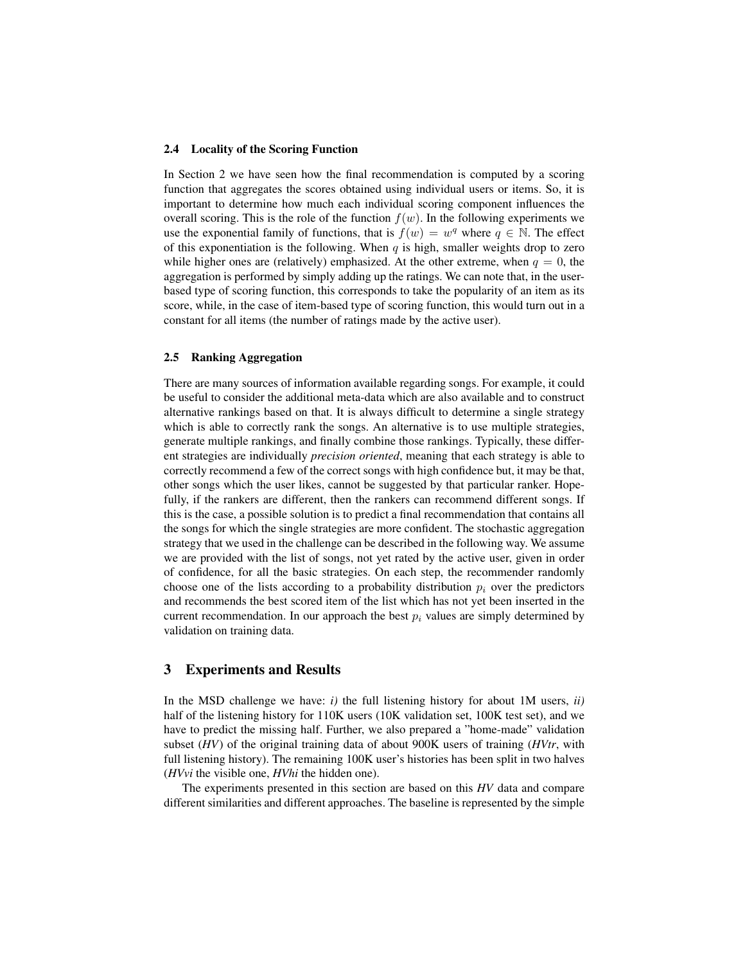#### 2.4 Locality of the Scoring Function

In Section 2 we have seen how the final recommendation is computed by a scoring function that aggregates the scores obtained using individual users or items. So, it is important to determine how much each individual scoring component influences the overall scoring. This is the role of the function  $f(w)$ . In the following experiments we use the exponential family of functions, that is  $f(w) = w^q$  where  $q \in \mathbb{N}$ . The effect of this exponentiation is the following. When  $q$  is high, smaller weights drop to zero while higher ones are (relatively) emphasized. At the other extreme, when  $q = 0$ , the aggregation is performed by simply adding up the ratings. We can note that, in the userbased type of scoring function, this corresponds to take the popularity of an item as its score, while, in the case of item-based type of scoring function, this would turn out in a constant for all items (the number of ratings made by the active user).

### 2.5 Ranking Aggregation

There are many sources of information available regarding songs. For example, it could be useful to consider the additional meta-data which are also available and to construct alternative rankings based on that. It is always difficult to determine a single strategy which is able to correctly rank the songs. An alternative is to use multiple strategies, generate multiple rankings, and finally combine those rankings. Typically, these different strategies are individually *precision oriented*, meaning that each strategy is able to correctly recommend a few of the correct songs with high confidence but, it may be that, other songs which the user likes, cannot be suggested by that particular ranker. Hopefully, if the rankers are different, then the rankers can recommend different songs. If this is the case, a possible solution is to predict a final recommendation that contains all the songs for which the single strategies are more confident. The stochastic aggregation strategy that we used in the challenge can be described in the following way. We assume we are provided with the list of songs, not yet rated by the active user, given in order of confidence, for all the basic strategies. On each step, the recommender randomly choose one of the lists according to a probability distribution  $p_i$  over the predictors and recommends the best scored item of the list which has not yet been inserted in the current recommendation. In our approach the best  $p_i$  values are simply determined by validation on training data.

### 3 Experiments and Results

In the MSD challenge we have:  $i$ ) the full listening history for about 1M users,  $ii$ ) half of the listening history for 110K users (10K validation set, 100K test set), and we have to predict the missing half. Further, we also prepared a "home-made" validation subset (*HV*) of the original training data of about 900K users of training (*HVtr*, with full listening history). The remaining 100K user's histories has been split in two halves (*HVvi* the visible one, *HVhi* the hidden one).

The experiments presented in this section are based on this *HV* data and compare different similarities and different approaches. The baseline is represented by the simple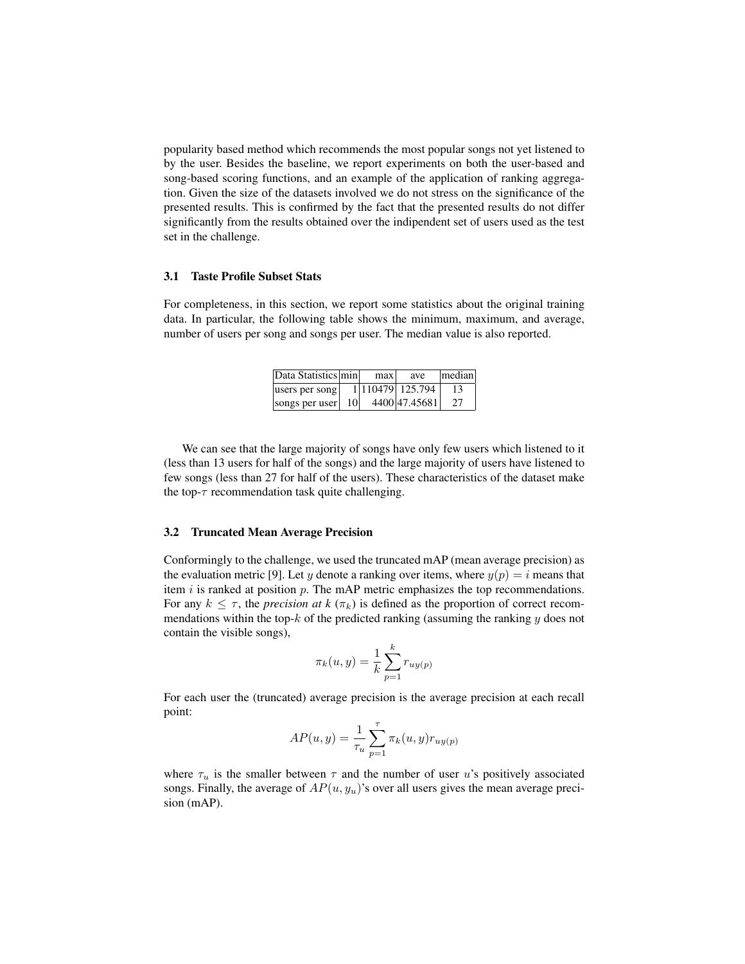popularity based method which recommends the most popular songs not yet listened to by the user. Besides the baseline, we report experiments on both the user-based and song-based scoring functions, and an example of the application of ranking aggregation. Given the size of the datasets involved we do not stress on the significance of the presented results. This is confirmed by the fact that the presented results do not differ significantly from the results obtained over the indipendent set of users used as the test set in the challenge.

### 3.1 Taste Profile Subset Stats

For completeness, in this section, we report some statistics about the original training data. In particular, the following table shows the minimum, maximum, and average, number of users per song and songs per user. The median value is also reported.

| Data Statistics min |    | max | ave               | median |
|---------------------|----|-----|-------------------|--------|
| users per song      |    |     | 1 110479  125.794 | 13     |
| songs per user      | 10 |     | 4400 47.45681     | 27     |

We can see that the large majority of songs have only few users which listened to it (less than 13 users for half of the songs) and the large majority of users have listened to few songs (less than 27 for half of the users). These characteristics of the dataset make the top- $\tau$  recommendation task quite challenging.

#### 3.2 Truncated Mean Average Precision

Conformingly to the challenge, we used the truncated mAP (mean average precision) as the evaluation metric [9]. Let y denote a ranking over items, where  $y(p) = i$  means that item  $i$  is ranked at position  $p$ . The mAP metric emphasizes the top recommendations. For any  $k \leq \tau$ , the *precision at k* ( $\pi_k$ ) is defined as the proportion of correct recommendations within the top- $k$  of the predicted ranking (assuming the ranking  $y$  does not contain the visible songs),

$$
\pi_k(u, y) = \frac{1}{k} \sum_{p=1}^k r_{uy(p)}
$$

For each user the (truncated) average precision is the average precision at each recall point:

$$
AP(u, y) = \frac{1}{\tau_u} \sum_{p=1}^{\tau} \pi_k(u, y) r_{uy(p)}
$$

where  $\tau_u$  is the smaller between  $\tau$  and the number of user u's positively associated songs. Finally, the average of  $AP(u, y_u)$ 's over all users gives the mean average precision (mAP).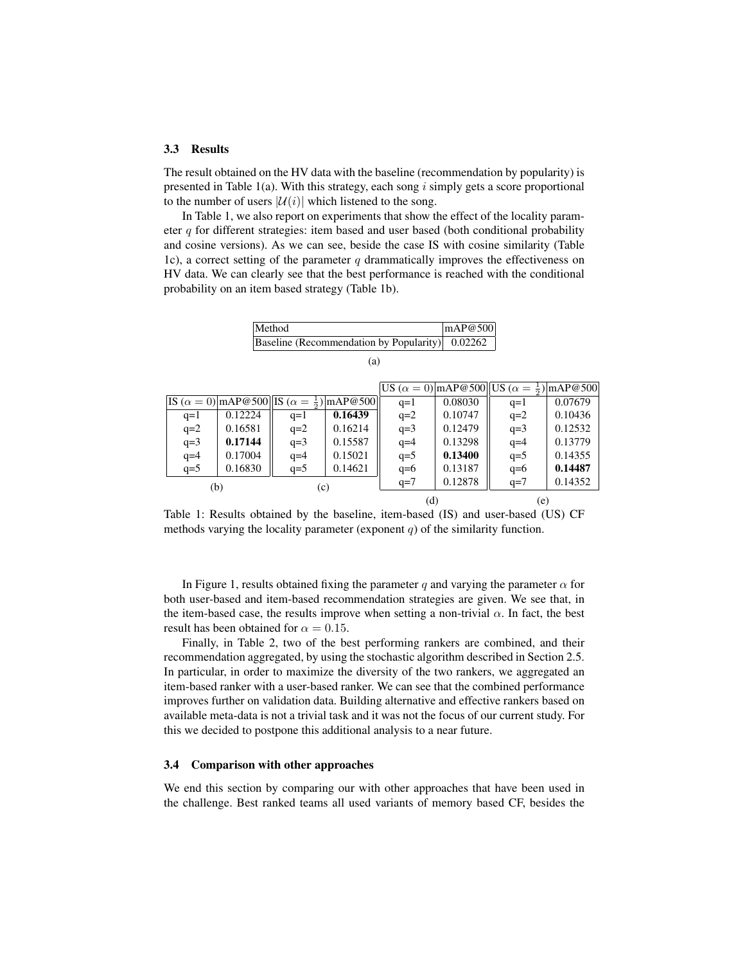#### 3.3 Results

The result obtained on the HV data with the baseline (recommendation by popularity) is presented in Table 1(a). With this strategy, each song  $i$  simply gets a score proportional to the number of users  $|\mathcal{U}(i)|$  which listened to the song.

In Table 1, we also report on experiments that show the effect of the locality parameter q for different strategies: item based and user based (both conditional probability and cosine versions). As we can see, beside the case IS with cosine similarity (Table 1c), a correct setting of the parameter  $q$  drammatically improves the effectiveness on HV data. We can clearly see that the best performance is reached with the conditional probability on an item based strategy (Table 1b).

| Method                                          | mAP@500 |
|-------------------------------------------------|---------|
| Baseline (Recommendation by Popularity) 0.02262 |         |
|                                                 |         |

|       |                                                       |       |                 |       |         | US $(\alpha = 0)$  mAP@500  US $(\alpha = \frac{1}{2})$  mAP@500 |         |
|-------|-------------------------------------------------------|-------|-----------------|-------|---------|------------------------------------------------------------------|---------|
|       | IS $(\alpha = 0)$ mAP@500 IS $(\alpha = \frac{1}{2})$ |       | $\vert$ mAP@500 | $q=1$ | 0.08030 | $q=1$                                                            | 0.07679 |
| $q=1$ | 0.12224                                               | $q=1$ | 0.16439         | $q=2$ | 0.10747 | $q=2$                                                            | 0.10436 |
| $q=2$ | 0.16581                                               | $q=2$ | 0.16214         | $q=3$ | 0.12479 | $q=3$                                                            | 0.12532 |
| $q=3$ | 0.17144                                               | $q=3$ | 0.15587         | $q=4$ | 0.13298 | $q=4$                                                            | 0.13779 |
| $q=4$ | 0.17004                                               | $q=4$ | 0.15021         | $q=5$ | 0.13400 | $q=5$                                                            | 0.14355 |
| $q=5$ | 0.16830                                               | $q=5$ | 0.14621         | $q=6$ | 0.13187 | $q=6$                                                            | 0.14487 |
| (b)   |                                                       | (c)   |                 | $q=7$ | 0.12878 | $q=7$                                                            | 0.14352 |
|       |                                                       |       |                 | (d)   |         | (e)                                                              |         |

Table 1: Results obtained by the baseline, item-based (IS) and user-based (US) CF methods varying the locality parameter (exponent  $q$ ) of the similarity function.

In Figure 1, results obtained fixing the parameter q and varying the parameter  $\alpha$  for both user-based and item-based recommendation strategies are given. We see that, in the item-based case, the results improve when setting a non-trivial  $\alpha$ . In fact, the best result has been obtained for  $\alpha = 0.15$ .

Finally, in Table 2, two of the best performing rankers are combined, and their recommendation aggregated, by using the stochastic algorithm described in Section 2.5. In particular, in order to maximize the diversity of the two rankers, we aggregated an item-based ranker with a user-based ranker. We can see that the combined performance improves further on validation data. Building alternative and effective rankers based on available meta-data is not a trivial task and it was not the focus of our current study. For this we decided to postpone this additional analysis to a near future.

### 3.4 Comparison with other approaches

We end this section by comparing our with other approaches that have been used in the challenge. Best ranked teams all used variants of memory based CF, besides the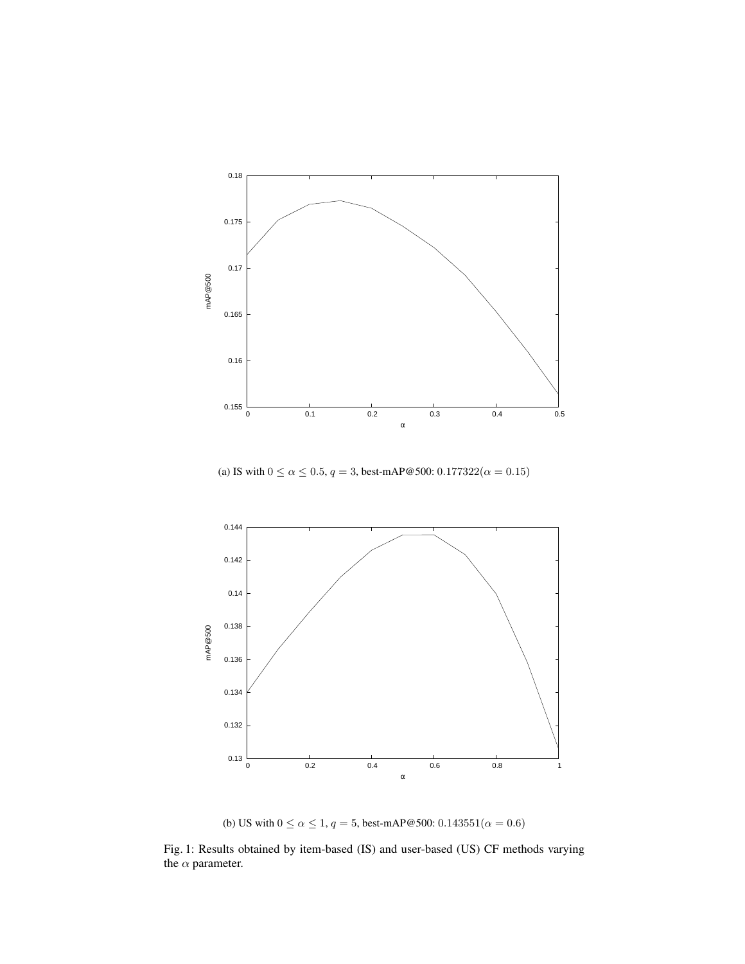

(a) IS with  $0 \le \alpha \le 0.5$ ,  $q = 3$ , best-mAP@500:  $0.177322(\alpha = 0.15)$ 



(b) US with  $0 \le \alpha \le 1$ ,  $q = 5$ , best-mAP@500:  $0.143551(\alpha = 0.6)$ 

Fig. 1: Results obtained by item-based (IS) and user-based (US) CF methods varying the  $\alpha$  parameter.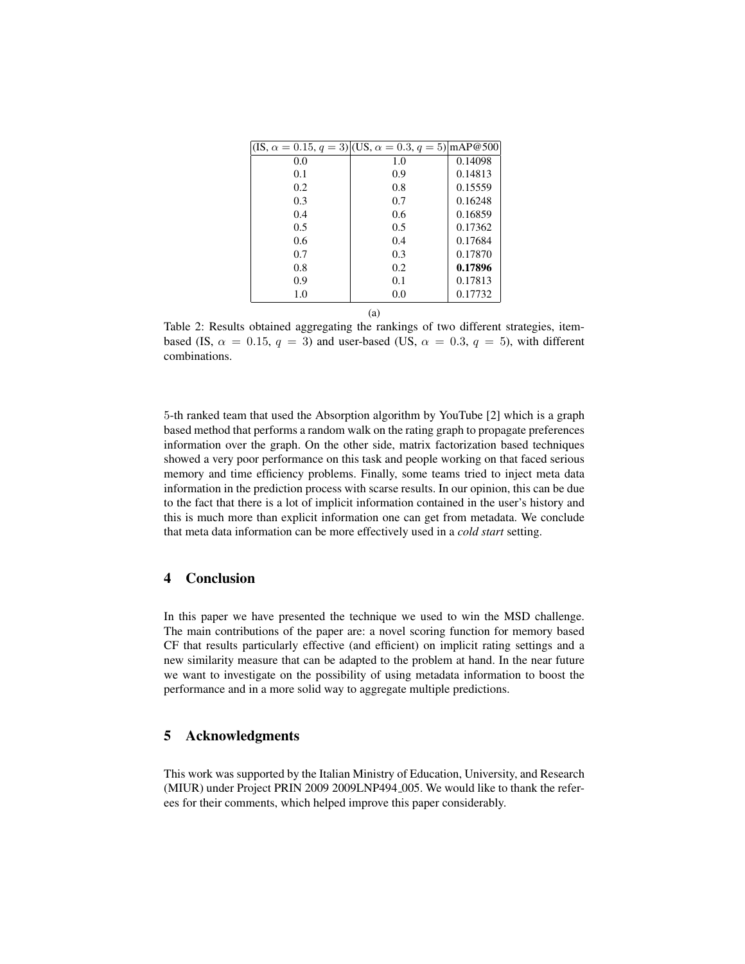| $(IS, \alpha = 0.15, q = 3)$ $(US, \alpha = 0.3, q = 5)$ $\text{mAP} @ 500$ |     |         |
|-----------------------------------------------------------------------------|-----|---------|
| 0.0                                                                         | 1.0 | 0.14098 |
| 0.1                                                                         | 0.9 | 0.14813 |
| 0.2                                                                         | 0.8 | 0.15559 |
| 0.3                                                                         | 0.7 | 0.16248 |
| 0.4                                                                         | 0.6 | 0.16859 |
| 0.5                                                                         | 0.5 | 0.17362 |
| 0.6                                                                         | 0.4 | 0.17684 |
| 0.7                                                                         | 0.3 | 0.17870 |
| 0.8                                                                         | 0.2 | 0.17896 |
| 0.9                                                                         | 0.1 | 0.17813 |
| 1.0                                                                         | 0.0 | 0.17732 |

Table 2: Results obtained aggregating the rankings of two different strategies, itembased (IS,  $\alpha = 0.15$ ,  $q = 3$ ) and user-based (US,  $\alpha = 0.3$ ,  $q = 5$ ), with different combinations.

(a)

5-th ranked team that used the Absorption algorithm by YouTube [2] which is a graph based method that performs a random walk on the rating graph to propagate preferences information over the graph. On the other side, matrix factorization based techniques showed a very poor performance on this task and people working on that faced serious memory and time efficiency problems. Finally, some teams tried to inject meta data information in the prediction process with scarse results. In our opinion, this can be due to the fact that there is a lot of implicit information contained in the user's history and this is much more than explicit information one can get from metadata. We conclude that meta data information can be more effectively used in a *cold start* setting.

### 4 Conclusion

In this paper we have presented the technique we used to win the MSD challenge. The main contributions of the paper are: a novel scoring function for memory based CF that results particularly effective (and efficient) on implicit rating settings and a new similarity measure that can be adapted to the problem at hand. In the near future we want to investigate on the possibility of using metadata information to boost the performance and in a more solid way to aggregate multiple predictions.

# 5 Acknowledgments

This work was supported by the Italian Ministry of Education, University, and Research (MIUR) under Project PRIN 2009 2009LNP494 005. We would like to thank the referees for their comments, which helped improve this paper considerably.